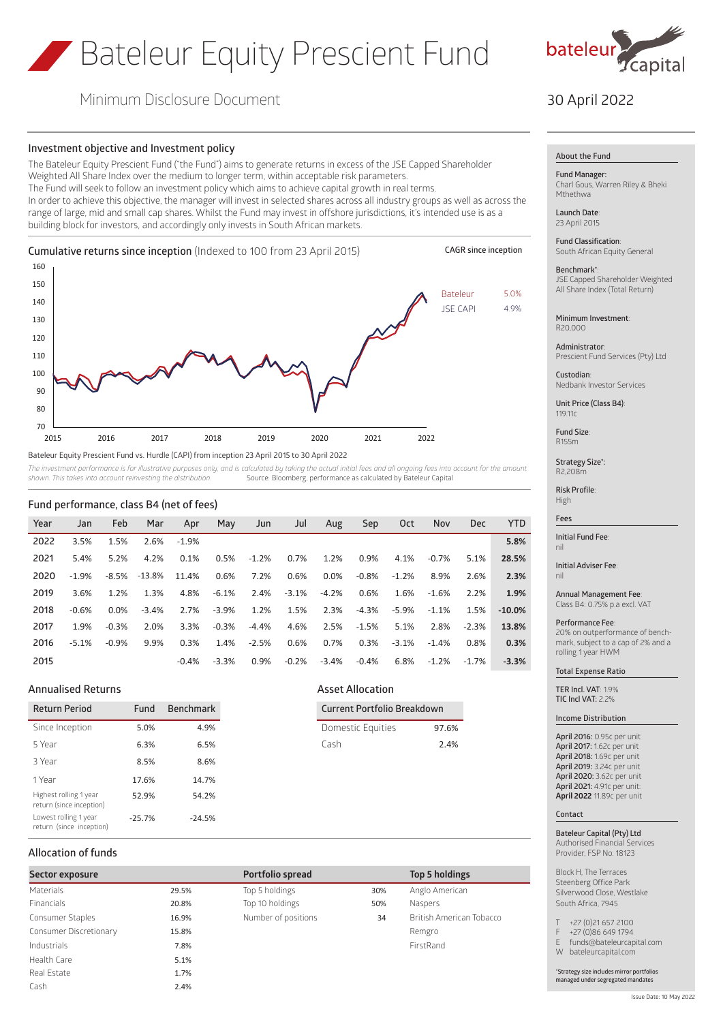# Bateleur Equity Prescient Fund



## Minimum Disclosure Document

#### **Investment objective and Investment policy**

The Bateleur Equity Prescient Fund ("the Fund") aims to generate returns in excess of the JSE Capped Shareholder Weighted All Share Index over the medium to longer term, within acceptable risk parameters. The Fund will seek to follow an investment policy which aims to achieve capital growth in real terms. In order to achieve this objective, the manager will invest in selected shares across all industry groups as well as across the range of large, mid and small cap shares. Whilst the Fund may invest in offshore jurisdictions, it's intended use is as a building block for investors, and accordingly only invests in South African markets.

**Cumulative returns since inception** (Indexed to 100 from 23 April 2015) Bateleur Equity Prescient Fund vs. Hurdle (CAPI) from inception 23 April 2015 to 30 April 2022 70 80 90  $100$ 110 120 130 140 150 160 2015 2016 2017 2018 2019 2020 2021 2022 Bateleur 5.0% **CAGR since inception** JSE CAPI 4.9%

The investment performance is for illustrative purposes only, and is calculated by taking the actual initial fees and all ongoing fees into account for the amount *shown. This takes into account reinvesting the distribution.* Source: Bloomberg, performance as calculated by Bateleur Capital

#### **Fund performance, class B4 (net of fees)**

| Year | Jan     | Feb     | Mar     | Apr     | May     | Jun     | Jul     | Aug     | Sep     | Oct     | Nov     | Dec      | <b>YTD</b> |
|------|---------|---------|---------|---------|---------|---------|---------|---------|---------|---------|---------|----------|------------|
| 2022 | 3.5%    | 1.5%    | 2.6%    | $-1.9%$ |         |         |         |         |         |         |         |          | 5.8%       |
| 2021 | 5.4%    | 5.2%    | 4.2%    | 0.1%    | 0.5%    | $-1.2%$ | 0.7%    | 1.2%    | 0.9%    | 4.1%    | $-0.7%$ | 5.1%     | 28.5%      |
| 2020 | $-1.9%$ | $-8.5%$ | -13.8%  | 11.4%   | 0.6%    | 7.2%    | 0.6%    | 0.0%    | $-0.8%$ | $-1.2%$ | 8.9%    | 2.6%     | 2.3%       |
| 2019 | 3.6%    | 1.2%    | 1.3%    | 4.8%    | $-6.1%$ | 2.4%    | $-3.1%$ | $-4.2%$ | 0.6%    | 1.6%    | $-1.6%$ | 2.2%     | 1.9%       |
| 2018 | $-0.6%$ | 0.0%    | $-3.4%$ | 2.7%    | $-3.9%$ | 1.2%    | 1.5%    | 2.3%    | $-4.3%$ | $-5.9%$ | $-1.1%$ | 1.5%     | $-10.0%$   |
| 2017 | 1.9%    | $-0.3%$ | 2.0%    | 3.3%    | $-0.3%$ | $-4.4%$ | 4.6%    | 2.5%    | $-1.5%$ | 5.1%    | 2.8%    | $-2.3%$  | 13.8%      |
| 2016 | $-5.1%$ | $-0.9%$ | 9.9%    | 0.3%    | 1.4%    | $-2.5%$ | 0.6%    | 0.7%    | 0.3%    | $-3.1%$ | $-1.4%$ | 0.8%     | 0.3%       |
| 2015 |         |         |         | $-0.4%$ | $-3.3%$ | 0.9%    | $-0.2%$ | $-3.4%$ | $-0.4%$ | 6.8%    | $-1.2%$ | $-1.7\%$ | $-3.3%$    |

## **Annualised Returns Asset Allocation**

| <b>Return Period</b><br>Fund                       |          | <b>Benchmark</b> |  |
|----------------------------------------------------|----------|------------------|--|
| Since Inception                                    | 5.0%     | 4.9%             |  |
| 5 Year                                             | 6.3%     | 6.5%             |  |
| 3 Year                                             | 8.5%     | 8.6%             |  |
| 1 Year                                             | 17.6%    | 14.7%            |  |
| Highest rolling 1 year<br>return (since inception) | 52.9%    | 54.2%            |  |
| Lowest rolling 1 year<br>return (since inception)  | $-25.7%$ | $-24.5%$         |  |

## **Return Period Fund Benchmark Current Portfolio Breakdown**

| Domestic Equities | 97.6% |
|-------------------|-------|
| Cash              | 2.4%  |

## **Allocation of funds**

| Sector exposure        |       | Portfolio spread    | <b>Top 5 holdings</b> |                          |  |
|------------------------|-------|---------------------|-----------------------|--------------------------|--|
| <b>Materials</b>       | 29.5% | Top 5 holdings      | 30%                   | Anglo American           |  |
| <b>Financials</b>      | 20.8% | Top 10 holdings     | 50%                   | Naspers                  |  |
| Consumer Staples       | 16.9% | Number of positions | 34                    | British American Tobacco |  |
| Consumer Discretionary | 15.8% |                     |                       | Remgro                   |  |
| Industrials            | 7.8%  |                     |                       | FirstRand                |  |
| Health Care            | 5.1%  |                     |                       |                          |  |
| Real Estate            | 1.7%  |                     |                       |                          |  |
| Cash                   | 2.4%  |                     |                       |                          |  |
|                        |       |                     |                       |                          |  |

| . 3.3.3.0.00        |  |  |  |  |  |
|---------------------|--|--|--|--|--|
| Top 5 holdings      |  |  |  |  |  |
| Top 10 holdings     |  |  |  |  |  |
| Number of positions |  |  |  |  |  |

|                | <b>Top 5 holdings</b>     |
|----------------|---------------------------|
| ℅              | Anglo American            |
| ℅              | Naspers                   |
| $\overline{4}$ | <b>British American T</b> |
|                | Remgro                    |
|                | EirctDand                 |

## 30 April 2022

#### **About the Fund**

#### **Fund Manager:**

Charl Gous, Warren Riley & Bheki Mthethwa

**Launch Date**: 23 April 2015

**Fund Classification**: South African Equity General

## **Benchmark\***:

JSE Capped Shareholder Weighted All Share Index (Total Return)

**Minimum Investment**: R20,000

**Administrator**: Prescient Fund Services (Pty) Ltd

**Custodian**: Nedbank Investor Services

**Unit Price (Class B4)**: 119.11c

**Fund Size**: R155m

**Strategy Size\*:** R2,208m

**Risk Profile**: High

#### **Fees**

**Initial Fund Fee**: nil

**Initial Adviser Fee**: nil

**Annual Management Fee**: Class B4: 0.75% p.a excl. VAT

#### **Performance Fee**:

20% on outperformance of benchmark, subject to a cap of 2% and a rolling 1 year HWM

### **Total Expense Ratio**

**TER Incl. VAT**: 1.9% **TIC Incl VAT:** 2.2%

**Income Distribution**

## **April 2016:** 0.95c per unit

**April 2017:** 1.62c per unit **April 2018:** 1.69c per unit **April 2019:** 3.24c per unit **April 2020:** 3.62c per unit **April 2021:** 4.91c per unit: **April 2022** 11.89c per unit

#### **Contact**

**Bateleur Capital (Pty) Ltd** Authorised Financial Services Provider, FSP No. 18123

Block H, The Terraces Steenberg Office Park Silverwood Close, Westlake South Africa, 7945

+27 (0)21 657 2100

F +27 (0)86 649 1794

E funds@bateleurcapital.com

W bateleurcapital.com

**\*Strategy size includes mirror portfolios** 

**managed under segregated mandates**